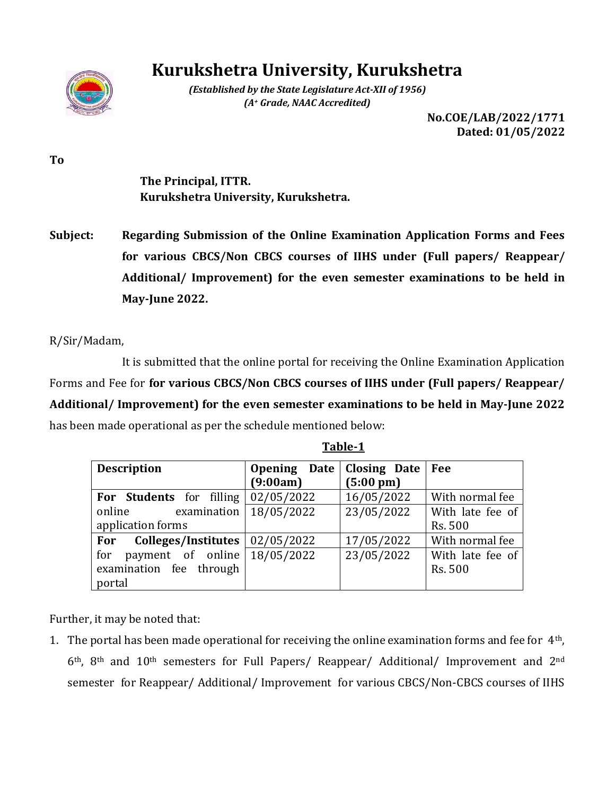

# **Kurukshetra University, Kurukshetra**

*(Established by the State Legislature Act-XII of 1956) (A<sup>+</sup> Grade, NAAC Accredited)*

> **No.COE/LAB/2022/1771 Dated: 01/05/2022**

**To**

**The Principal, ITTR. Kurukshetra University, Kurukshetra.**

**Subject: Regarding Submission of the Online Examination Application Forms and Fees for various CBCS/Non CBCS courses of IIHS under (Full papers/ Reappear/ Additional/ Improvement) for the even semester examinations to be held in May-June 2022.**

R/Sir/Madam,

It is submitted that the online portal for receiving the Online Examination Application Forms and Fee for **for various CBCS/Non CBCS courses of IIHS under (Full papers/ Reappear/ Additional/ Improvement) for the even semester examinations to be held in May-June 2022** has been made operational as per the schedule mentioned below:

| <b>Description</b>                    | Opening Date   Closing Date |                     | Fee              |
|---------------------------------------|-----------------------------|---------------------|------------------|
|                                       | (9:00am)                    | $(5:00 \text{ pm})$ |                  |
| For Students for filling              | 02/05/2022                  | 16/05/2022          | With normal fee  |
| examination  <br>online               | 18/05/2022                  | 23/05/2022          | With late fee of |
| application forms                     |                             |                     | Rs. 500          |
| For Colleges/Institutes               | $\mid 02/05/2022 \mid$      | 17/05/2022          | With normal fee  |
| payment of online $18/05/2022$<br>for |                             | 23/05/2022          | With late fee of |
| examination fee through               |                             |                     | Rs. 500          |
| portal                                |                             |                     |                  |

**Table-1**

Further, it may be noted that:

1. The portal has been made operational for receiving the online examination forms and fee for  $4<sup>th</sup>$ , 6th, 8th and 10th semesters for Full Papers/ Reappear/ Additional/ Improvement and 2nd semester for Reappear/ Additional/ Improvement for various CBCS/Non-CBCS courses of IIHS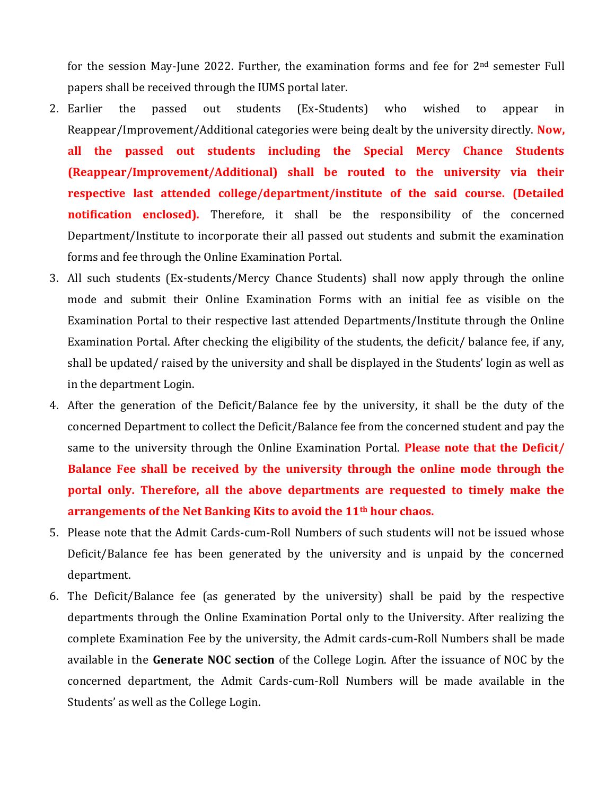for the session May-June 2022. Further, the examination forms and fee for 2<sup>nd</sup> semester Full papers shall be received through the IUMS portal later.

- 2. Earlier the passed out students (Ex-Students) who wished to appear in Reappear/Improvement/Additional categories were being dealt by the university directly. **Now, all the passed out students including the Special Mercy Chance Students (Reappear/Improvement/Additional) shall be routed to the university via their respective last attended college/department/institute of the said course. (Detailed notification enclosed).** Therefore, it shall be the responsibility of the concerned Department/Institute to incorporate their all passed out students and submit the examination forms and fee through the Online Examination Portal.
- 3. All such students (Ex-students/Mercy Chance Students) shall now apply through the online mode and submit their Online Examination Forms with an initial fee as visible on the Examination Portal to their respective last attended Departments/Institute through the Online Examination Portal. After checking the eligibility of the students, the deficit/ balance fee, if any, shall be updated/ raised by the university and shall be displayed in the Students' login as well as in the department Login.
- 4. After the generation of the Deficit/Balance fee by the university, it shall be the duty of the concerned Department to collect the Deficit/Balance fee from the concerned student and pay the same to the university through the Online Examination Portal. **Please note that the Deficit/ Balance Fee shall be received by the university through the online mode through the portal only. Therefore, all the above departments are requested to timely make the arrangements of the Net Banking Kits to avoid the 11th hour chaos.**
- 5. Please note that the Admit Cards-cum-Roll Numbers of such students will not be issued whose Deficit/Balance fee has been generated by the university and is unpaid by the concerned department.
- 6. The Deficit/Balance fee (as generated by the university) shall be paid by the respective departments through the Online Examination Portal only to the University. After realizing the complete Examination Fee by the university, the Admit cards-cum-Roll Numbers shall be made available in the **Generate NOC section** of the College Login. After the issuance of NOC by the concerned department, the Admit Cards-cum-Roll Numbers will be made available in the Students' as well as the College Login.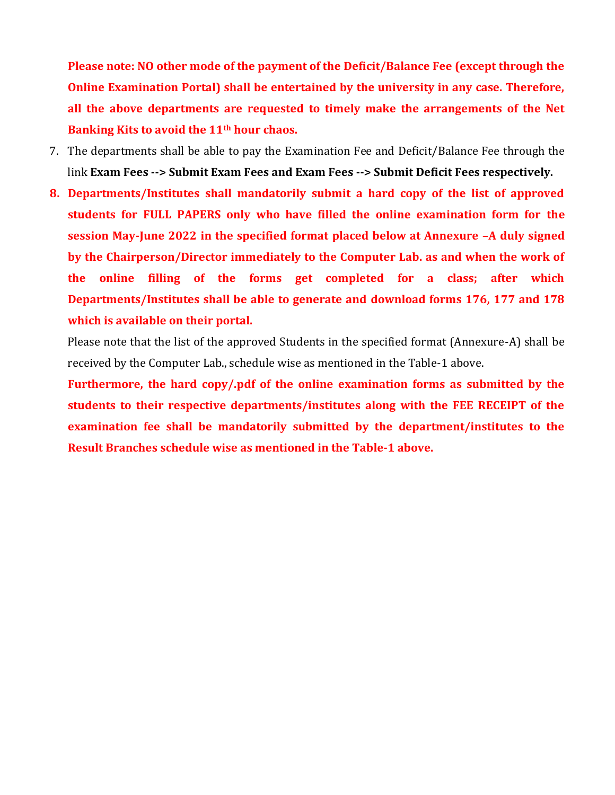**Please note: NO other mode of the payment of the Deficit/Balance Fee (except through the Online Examination Portal) shall be entertained by the university in any case. Therefore, all the above departments are requested to timely make the arrangements of the Net Banking Kits to avoid the 11th hour chaos.** 

- 7. The departments shall be able to pay the Examination Fee and Deficit/Balance Fee through the link **Exam Fees --> Submit Exam Fees and Exam Fees --> Submit Deficit Fees respectively.**
- **8. Departments/Institutes shall mandatorily submit a hard copy of the list of approved students for FULL PAPERS only who have filled the online examination form for the session May-June 2022 in the specified format placed below at Annexure –A duly signed by the Chairperson/Director immediately to the Computer Lab. as and when the work of the online filling of the forms get completed for a class; after which Departments/Institutes shall be able to generate and download forms 176, 177 and 178 which is available on their portal.**

Please note that the list of the approved Students in the specified format (Annexure-A) shall be received by the Computer Lab., schedule wise as mentioned in the Table-1 above.

**Furthermore, the hard copy/.pdf of the online examination forms as submitted by the students to their respective departments/institutes along with the FEE RECEIPT of the examination fee shall be mandatorily submitted by the department/institutes to the Result Branches schedule wise as mentioned in the Table-1 above.**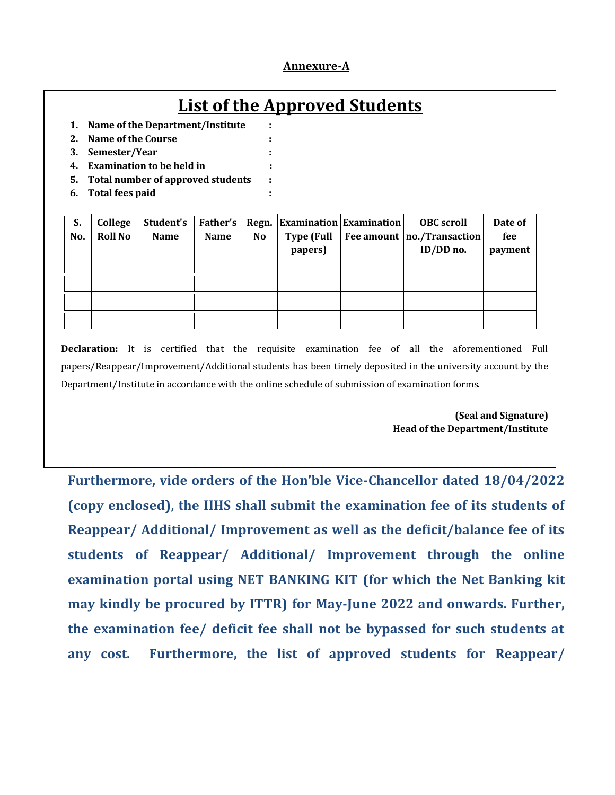#### **Annexure-A**

## **List of the Approved Students**

- **1. Name of the Department/Institute : 2. Name of the Course :**
- **3. Semester/Year :**
- **4. Examination to be held in :**
- **5. Total number of approved students :**
- **6. Total fees paid :**

| S.<br>No. | College<br><b>Roll No</b> | Student's<br><b>Name</b> | Father's<br>Name | No | Regn. Examination Examination<br><b>Type (Full</b><br>papers) | <b>OBC</b> scroll<br>Fee amount   no./Transaction  <br>ID/DD no. | Date of<br>fee<br>payment |
|-----------|---------------------------|--------------------------|------------------|----|---------------------------------------------------------------|------------------------------------------------------------------|---------------------------|
|           |                           |                          |                  |    |                                                               |                                                                  |                           |
|           |                           |                          |                  |    |                                                               |                                                                  |                           |
|           |                           |                          |                  |    |                                                               |                                                                  |                           |

**Declaration:** It is certified that the requisite examination fee of all the aforementioned Full papers/Reappear/Improvement/Additional students has been timely deposited in the university account by the Department/Institute in accordance with the online schedule of submission of examination forms.

> **(Seal and Signature) Head of the Department/Institute**

**Furthermore, vide orders of the Hon'ble Vice-Chancellor dated 18/04/2022 (copy enclosed), the IIHS shall submit the examination fee of its students of Reappear/ Additional/ Improvement as well as the deficit/balance fee of its students of Reappear/ Additional/ Improvement through the online examination portal using NET BANKING KIT (for which the Net Banking kit may kindly be procured by ITTR) for May-June 2022 and onwards. Further, the examination fee/ deficit fee shall not be bypassed for such students at any cost. Furthermore, the list of approved students for Reappear/**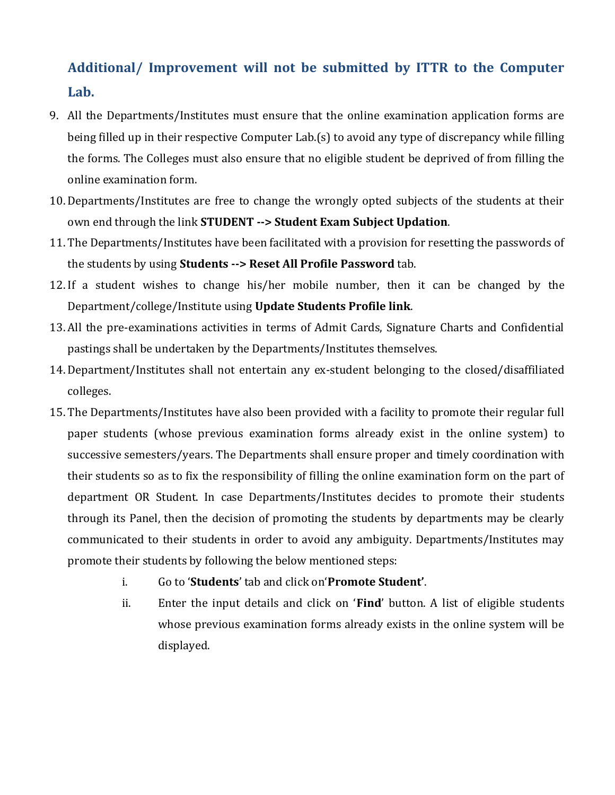## **Additional/ Improvement will not be submitted by ITTR to the Computer Lab.**

- 9. All the Departments/Institutes must ensure that the online examination application forms are being filled up in their respective Computer Lab.(s) to avoid any type of discrepancy while filling the forms. The Colleges must also ensure that no eligible student be deprived of from filling the online examination form.
- 10. Departments/Institutes are free to change the wrongly opted subjects of the students at their own end through the link **STUDENT --> Student Exam Subject Updation**.
- 11. The Departments/Institutes have been facilitated with a provision for resetting the passwords of the students by using **Students --> Reset All Profile Password** tab.
- 12. If a student wishes to change his/her mobile number, then it can be changed by the Department/college/Institute using **Update Students Profile link**.
- 13. All the pre-examinations activities in terms of Admit Cards, Signature Charts and Confidential pastings shall be undertaken by the Departments/Institutes themselves.
- 14. Department/Institutes shall not entertain any ex-student belonging to the closed/disaffiliated colleges.
- 15. The Departments/Institutes have also been provided with a facility to promote their regular full paper students (whose previous examination forms already exist in the online system) to successive semesters/years. The Departments shall ensure proper and timely coordination with their students so as to fix the responsibility of filling the online examination form on the part of department OR Student. In case Departments/Institutes decides to promote their students through its Panel, then the decision of promoting the students by departments may be clearly communicated to their students in order to avoid any ambiguity. Departments/Institutes may promote their students by following the below mentioned steps:
	- i. Go to '**Students**' tab and click on'**Promote Student'**.
	- ii. Enter the input details and click on '**Find**' button. A list of eligible students whose previous examination forms already exists in the online system will be displayed.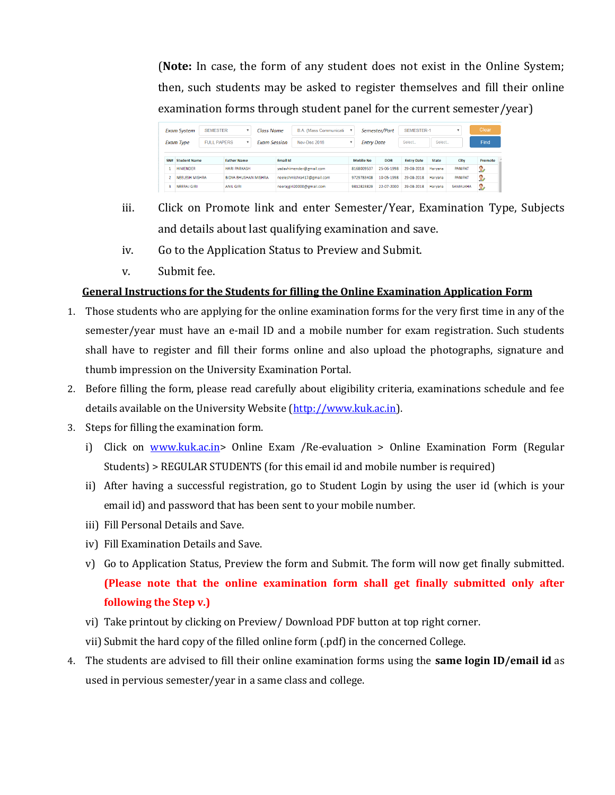(**Note:** In case, the form of any student does not exist in the Online System; then, such students may be asked to register themselves and fill their online examination forms through student panel for the current semester/year)

| <b>Exam System</b><br><b>Exam Type</b> |                       | <b>SEMESTER</b>                           | ÷                           |   | Class Name          |                         | B.A. (Mass Communicati-    | $\boldsymbol{\mathrm{v}}$ |                   | <b>SEMESTER-1</b><br>Semester/Part |                   |                |                | Clear   |
|----------------------------------------|-----------------------|-------------------------------------------|-----------------------------|---|---------------------|-------------------------|----------------------------|---------------------------|-------------------|------------------------------------|-------------------|----------------|----------------|---------|
|                                        |                       | <b>FULL PAPERS</b>                        |                             | v | <b>Exam Session</b> |                         | Nov-Dec 2018               |                           | <b>Entry Date</b> |                                    | Select.           | Select         |                | Find    |
| SN#                                    |                       | <b>Student Name</b><br><b>Father Name</b> |                             |   |                     | <b>Email Id</b>         |                            |                           | <b>Mobile No</b>  | <b>DOB</b>                         | <b>Entry Date</b> | <b>State</b>   | City           | Promote |
|                                        | <b>HIMENDER</b>       |                                           | <b>HARI PARKASH</b>         |   |                     | vadavhimender@gmail.com |                            | 8168009537                | 25-06-1998        | 29-08-2018                         | Harvana           | <b>PANIPAT</b> | 2              |         |
|                                        | <b>NEELESH MISHRA</b> |                                           | <b>BIDYA BHUSHAN MISHRA</b> |   |                     |                         | neeleshmishra417@gmail.com |                           | 9729783408        | 10-05-1998                         | 29-08-2018        | Harvana        | <b>PANIPAT</b> | Ω       |
| з                                      | <b>NEERAJ GIRI</b>    |                                           | <b>ANIL GIRL</b>            |   |                     |                         | neerajgiri20000@gmail.com  |                           | 9812823829        | 22-07-2000                         | 29-08-2018        | Harvana        | SAMALKHA       | lo.     |

- iii. Click on Promote link and enter Semester/Year, Examination Type, Subjects and details about last qualifying examination and save.
- iv. Go to the Application Status to Preview and Submit.
- v. Submit fee.

### **General Instructions for the Students for filling the Online Examination Application Form**

- 1. Those students who are applying for the online examination forms for the very first time in any of the semester/year must have an e-mail ID and a mobile number for exam registration. Such students shall have to register and fill their forms online and also upload the photographs, signature and thumb impression on the University Examination Portal.
- 2. Before filling the form, please read carefully about eligibility criteria, examinations schedule and fee details available on the University Website [\(http://www.kuk.ac.in\)](http://www.kuk.ac.in/).
- 3. Steps for filling the examination form.
	- i) Click on [www.kuk.ac.in>](http://www.kuk.ac.in/) Online Exam /Re-evaluation > Online Examination Form (Regular Students) > REGULAR STUDENTS (for this email id and mobile number is required)
	- ii) After having a successful registration, go to Student Login by using the user id (which is your email id) and password that has been sent to your mobile number.
	- iii) Fill Personal Details and Save.
	- iv) Fill Examination Details and Save.
	- v) Go to Application Status, Preview the form and Submit. The form will now get finally submitted. **(Please note that the online examination form shall get finally submitted only after following the Step v.)**
	- vi) Take printout by clicking on Preview/ Download PDF button at top right corner.
	- vii) Submit the hard copy of the filled online form (.pdf) in the concerned College.
- 4. The students are advised to fill their online examination forms using the **same login ID/email id** as used in pervious semester/year in a same class and college.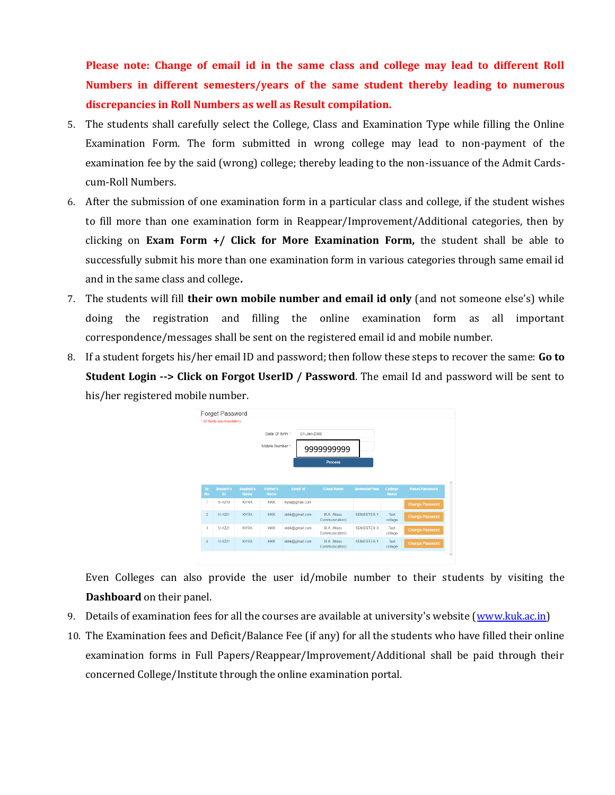**Please note: Change of email id in the same class and college may lead to different Roll Numbers in different semesters/years of the same student thereby leading to numerous discrepancies in Roll Numbers as well as Result compilation.**

- 5. The students shall carefully select the College, Class and Examination Type while filling the Online Examination Form. The form submitted in wrong college may lead to non-payment of the examination fee by the said (wrong) college; thereby leading to the non-issuance of the Admit Cardscum-Roll Numbers.
- 6. After the submission of one examination form in a particular class and college, if the student wishes to fill more than one examination form in Reappear/Improvement/Additional categories, then by clicking on **Exam Form +/ Click for More Examination Form,** the student shall be able to successfully submit his more than one examination form in various categories through same email id and in the same class and college**.**
- 7. The students will fill **their own mobile number and email id only** (and not someone else's) while doing the registration and filling the online examination form as all important correspondence/messages shall be sent on the registered email id and mobile number.
- 8. If a student forgets his/her email ID and password; then follow these steps to recover the same: **Go to Student Login --> Click on Forgot UserID / Password**. The email Id and password will be sent to his/her registered mobile number.



Even Colleges can also provide the user id/mobile number to their students by visiting the **Dashboard** on their panel.

- 9. Details of examination fees for all the courses are available at university's website [\(www.kuk.ac.in\)](http://www.kuk.ac.in/)
- 10. The Examination fees and Deficit/Balance Fee (if any) for all the students who have filled their online examination forms in Full Papers/Reappear/Improvement/Additional shall be paid through their concerned College/Institute through the online examination portal.